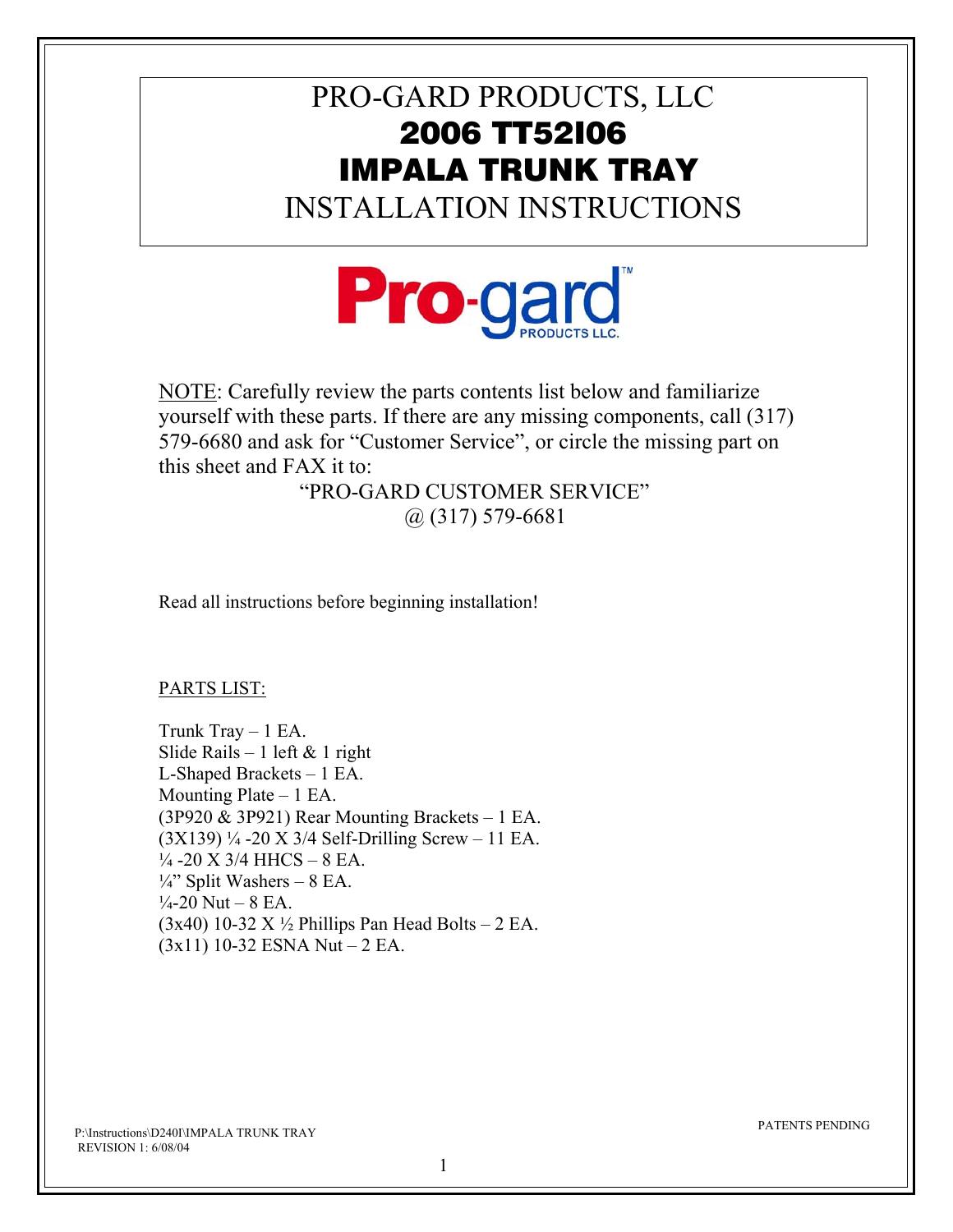## PRO-GARD PRODUCTS, LLC 2006 TT52I06 IMPALA TRUNK TRAY

INSTALLATION INSTRUCTIONS



NOTE: Carefully review the parts contents list below and familiarize yourself with these parts. If there are any missing components, call (317) 579-6680 and ask for "Customer Service", or circle the missing part on this sheet and FAX it to:

 "PRO-GARD CUSTOMER SERVICE" @ (317) 579-6681

Read all instructions before beginning installation!

PARTS LIST:

Trunk Tray  $-1$  EA. Slide Rails – 1 left  $& 1$  right L-Shaped Brackets – 1 EA. Mounting Plate  $-1$  EA. (3P920 & 3P921) Rear Mounting Brackets – 1 EA.  $(3X139)$  ¼ -20 X 3/4 Self-Drilling Screw – 11 EA.  $\frac{1}{4}$ -20 X 3/4 HHCS – 8 EA.  $\frac{1}{4}$ " Split Washers – 8 EA.  $\frac{1}{4}$ -20 Nut – 8 EA.  $(3x40)$  10-32 X  $\frac{1}{2}$  Phillips Pan Head Bolts – 2 EA.  $(3x11)$  10-32 ESNA Nut – 2 EA.

P:\Instructions\D240I\IMPALA TRUNK TRAY REVISION 1: 6/08/04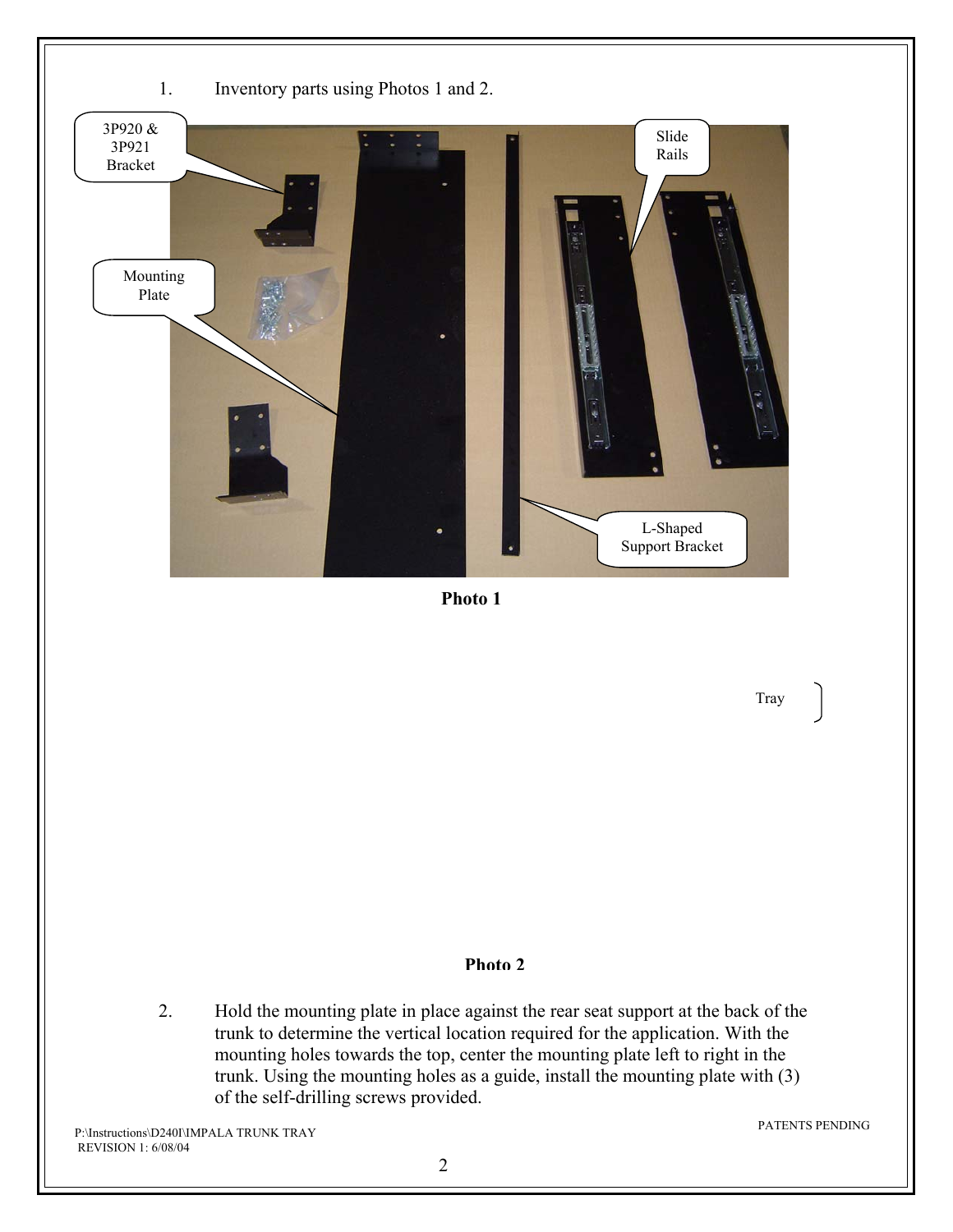

**Photo 1** 

Tray

## **Photo 2**

2. Hold the mounting plate in place against the rear seat support at the back of the trunk to determine the vertical location required for the application. With the mounting holes towards the top, center the mounting plate left to right in the trunk. Using the mounting holes as a guide, install the mounting plate with (3) of the self-drilling screws provided.

P:\Instructions\D240I\IMPALA TRUNK TRAY REVISION 1: 6/08/04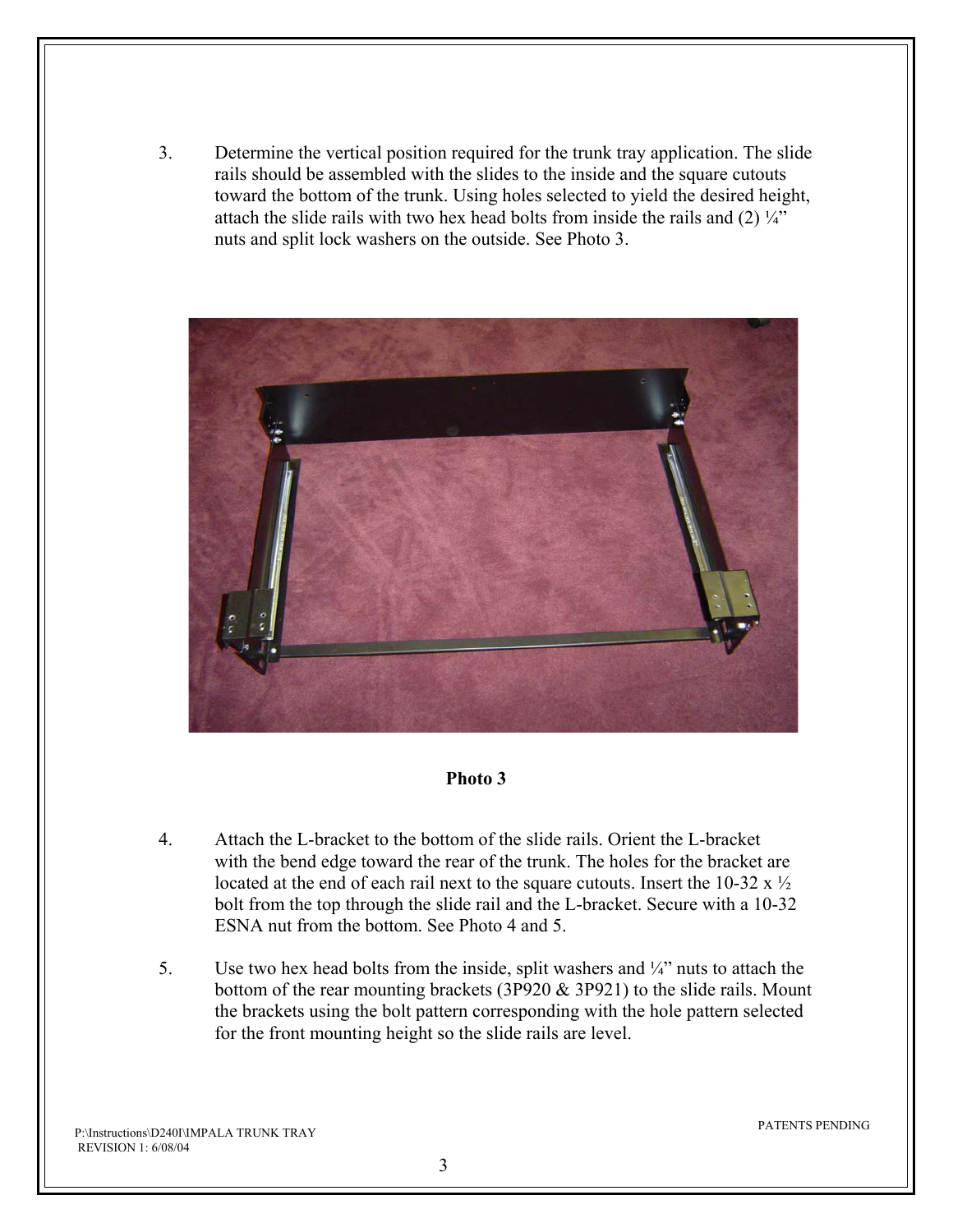3. Determine the vertical position required for the trunk tray application. The slide rails should be assembled with the slides to the inside and the square cutouts toward the bottom of the trunk. Using holes selected to yield the desired height, attach the slide rails with two hex head bolts from inside the rails and  $(2)$   $\frac{1}{4}$ " nuts and split lock washers on the outside. See Photo 3.



## **Photo 3**

- 4. Attach the L-bracket to the bottom of the slide rails. Orient the L-bracket with the bend edge toward the rear of the trunk. The holes for the bracket are located at the end of each rail next to the square cutouts. Insert the 10-32 x ½ bolt from the top through the slide rail and the L-bracket. Secure with a 10-32 ESNA nut from the bottom. See Photo 4 and 5.
- 5. Use two hex head bolts from the inside, split washers and  $\frac{1}{4}$  nuts to attach the bottom of the rear mounting brackets (3P920 & 3P921) to the slide rails. Mount the brackets using the bolt pattern corresponding with the hole pattern selected for the front mounting height so the slide rails are level.

P:\Instructions\D240I\IMPALA TRUNK TRAY REVISION 1: 6/08/04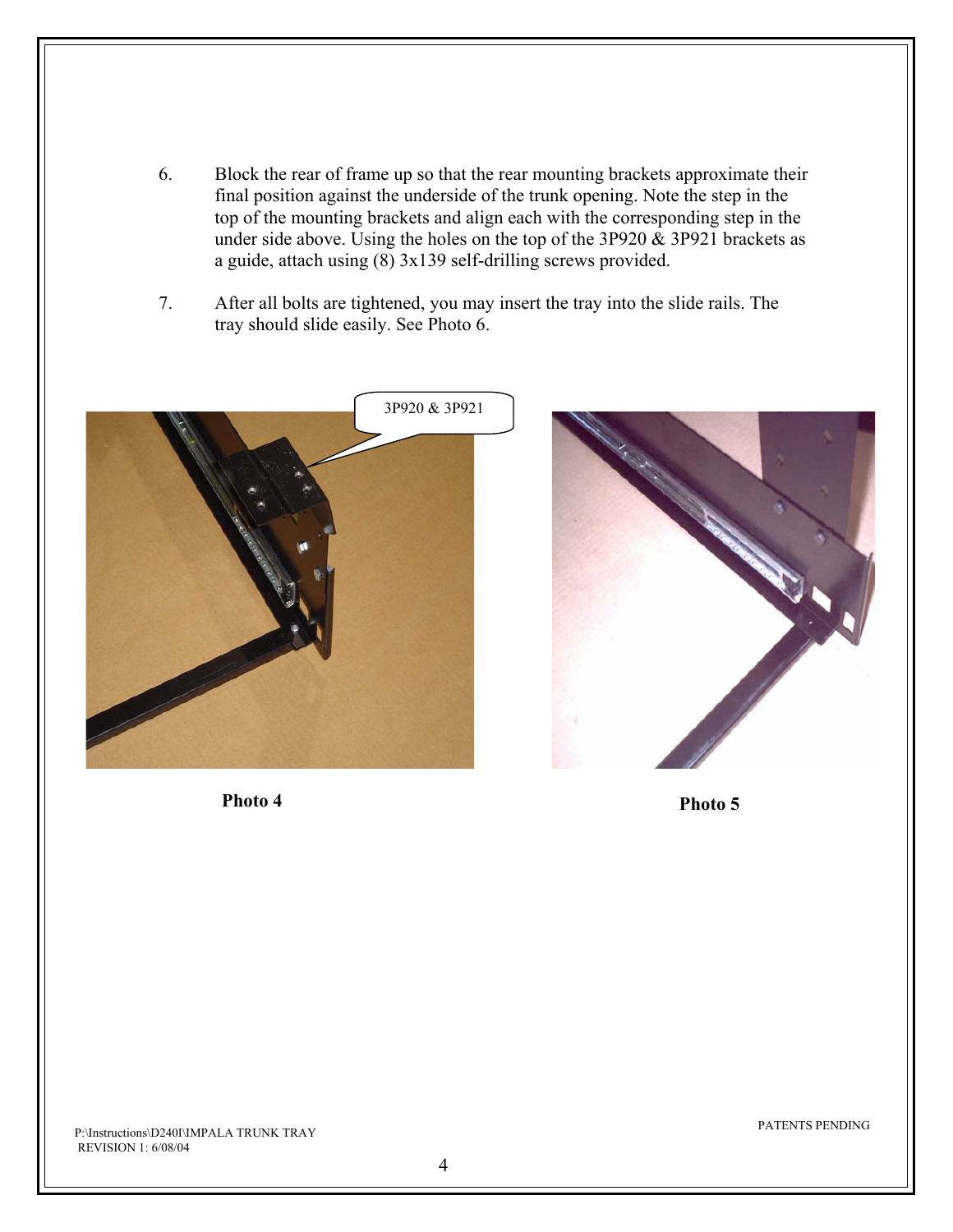- 6. Block the rear of frame up so that the rear mounting brackets approximate their final position against the underside of the trunk opening. Note the step in the top of the mounting brackets and align each with the corresponding step in the under side above. Using the holes on the top of the 3P920  $\&$  3P921 brackets as a guide, attach using (8) 3x139 self-drilling screws provided.
- 7. After all bolts are tightened, you may insert the tray into the slide rails. The tray should slide easily. See Photo 6.





**Photo 4** Photo 5

P:\Instructions\D240I\IMPALA TRUNK TRAY REVISION 1: 6/08/04